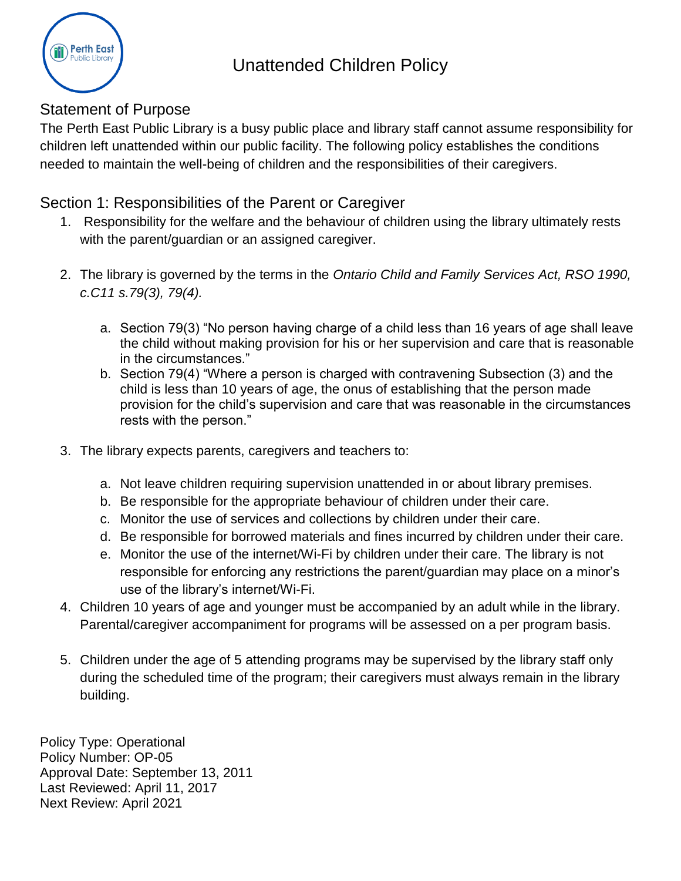

## Statement of Purpose

The Perth East Public Library is a busy public place and library staff cannot assume responsibility for children left unattended within our public facility. The following policy establishes the conditions needed to maintain the well-being of children and the responsibilities of their caregivers.

## Section 1: Responsibilities of the Parent or Caregiver

- 1. Responsibility for the welfare and the behaviour of children using the library ultimately rests with the parent/guardian or an assigned caregiver.
- 2. The library is governed by the terms in the *Ontario Child and Family Services Act, RSO 1990, c.C11 s.79(3), 79(4).*
	- a. Section 79(3) "No person having charge of a child less than 16 years of age shall leave the child without making provision for his or her supervision and care that is reasonable in the circumstances."
	- b. Section 79(4) "Where a person is charged with contravening Subsection (3) and the child is less than 10 years of age, the onus of establishing that the person made provision for the child's supervision and care that was reasonable in the circumstances rests with the person."
- 3. The library expects parents, caregivers and teachers to:
	- a. Not leave children requiring supervision unattended in or about library premises.
	- b. Be responsible for the appropriate behaviour of children under their care.
	- c. Monitor the use of services and collections by children under their care.
	- d. Be responsible for borrowed materials and fines incurred by children under their care.
	- e. Monitor the use of the internet/Wi-Fi by children under their care. The library is not responsible for enforcing any restrictions the parent/guardian may place on a minor's use of the library's internet/Wi-Fi.
- 4. Children 10 years of age and younger must be accompanied by an adult while in the library. Parental/caregiver accompaniment for programs will be assessed on a per program basis.
- 5. Children under the age of 5 attending programs may be supervised by the library staff only during the scheduled time of the program; their caregivers must always remain in the library building.

Policy Type: Operational Policy Number: OP-05 Approval Date: September 13, 2011 Last Reviewed: April 11, 2017 Next Review: April 2021